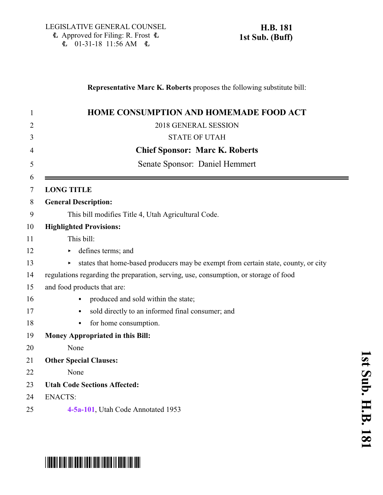### **Representative Marc K. Roberts** proposes the following substitute bill:

| HOME CONSUMPTION AND HOMEMADE FOOD ACT                                               |
|--------------------------------------------------------------------------------------|
| 2018 GENERAL SESSION                                                                 |
| <b>STATE OF UTAH</b>                                                                 |
| <b>Chief Sponsor: Marc K. Roberts</b>                                                |
| Senate Sponsor: Daniel Hemmert                                                       |
| <b>LONG TITLE</b>                                                                    |
| <b>General Description:</b>                                                          |
| This bill modifies Title 4, Utah Agricultural Code.                                  |
| <b>Highlighted Provisions:</b>                                                       |
| This bill:                                                                           |
| defines terms; and                                                                   |
| states that home-based producers may be exempt from certain state, county, or city   |
| regulations regarding the preparation, serving, use, consumption, or storage of food |
| and food products that are:                                                          |
| produced and sold within the state;                                                  |
| sold directly to an informed final consumer; and<br>$\bullet$                        |
| for home consumption.<br>$\bullet$                                                   |
| <b>Money Appropriated in this Bill:</b>                                              |
| None                                                                                 |
| <b>Other Special Clauses:</b>                                                        |
| None                                                                                 |
| <b>Utah Code Sections Affected:</b>                                                  |
| <b>ENACTS:</b>                                                                       |
| 4-5a-101, Utah Code Annotated 1953                                                   |

**1**

# \*HB0181S01\*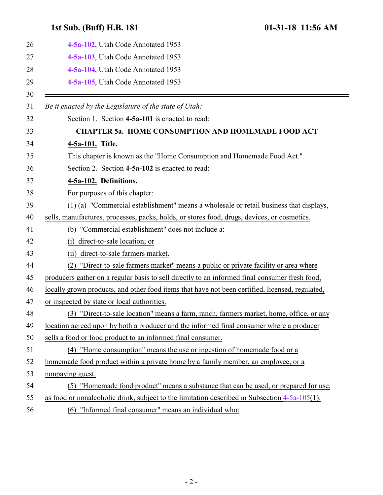## <span id="page-1-1"></span><span id="page-1-0"></span>**1st Sub. (Buff) H.B. 181 01-31-18 11:56 AM**

| 26 | 4-5a-102, Utah Code Annotated 1953                                                               |
|----|--------------------------------------------------------------------------------------------------|
| 27 | 4-5a-103, Utah Code Annotated 1953                                                               |
| 28 | 4-5a-104, Utah Code Annotated 1953                                                               |
| 29 | 4-5a-105, Utah Code Annotated 1953                                                               |
| 30 |                                                                                                  |
| 31 | Be it enacted by the Legislature of the state of Utah:                                           |
| 32 | Section 1. Section 4-5a-101 is enacted to read:                                                  |
| 33 | <b>CHAPTER 5a. HOME CONSUMPTION AND HOMEMADE FOOD ACT</b>                                        |
| 34 | 4-5a-101. Title.                                                                                 |
| 35 | This chapter is known as the "Home Consumption and Homemade Food Act."                           |
| 36 | Section 2. Section 4-5a-102 is enacted to read:                                                  |
| 37 | 4-5a-102. Definitions.                                                                           |
| 38 | For purposes of this chapter:                                                                    |
| 39 | (1) (a) "Commercial establishment" means a wholesale or retail business that displays,           |
| 40 | sells, manufactures, processes, packs, holds, or stores food, drugs, devices, or cosmetics.      |
| 41 | (b) "Commercial establishment" does not include a:                                               |
| 42 | direct-to-sale location; or<br>(1)                                                               |
| 43 | (ii) direct-to-sale farmers market.                                                              |
| 44 | "Direct-to-sale farmers market" means a public or private facility or area where<br>(2)          |
| 45 | producers gather on a regular basis to sell directly to an informed final consumer fresh food,   |
| 46 | locally grown products, and other food items that have not been certified, licensed, regulated,  |
| 47 | or inspected by state or local authorities.                                                      |
| 48 | (3) "Direct-to-sale location" means a farm, ranch, farmers market, home, office, or any          |
| 49 | location agreed upon by both a producer and the informed final consumer where a producer         |
| 50 | sells a food or food product to an informed final consumer.                                      |
| 51 | (4) "Home consumption" means the use or ingestion of homemade food or a                          |
| 52 | homemade food product within a private home by a family member, an employee, or a                |
| 53 | nonpaying guest.                                                                                 |
| 54 | "Homemade food product" means a substance that can be used, or prepared for use,<br>(5)          |
| 55 | as food or nonalcoholic drink, subject to the limitation described in Subsection $4-5a-105(1)$ . |
| 56 | "Informed final consumer" means an individual who:<br>(6)                                        |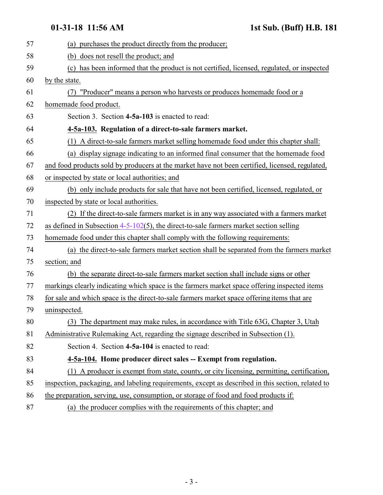<span id="page-2-1"></span><span id="page-2-0"></span>

| 57 | (a) purchases the product directly from the producer;                                             |
|----|---------------------------------------------------------------------------------------------------|
| 58 | (b) does not resell the product; and                                                              |
| 59 | (c) has been informed that the product is not certified, licensed, regulated, or inspected        |
| 60 | by the state.                                                                                     |
| 61 | "Producer" means a person who harvests or produces homemade food or a<br>(7)                      |
| 62 | homemade food product.                                                                            |
| 63 | Section 3. Section 4-5a-103 is enacted to read:                                                   |
| 64 | 4-5a-103. Regulation of a direct-to-sale farmers market.                                          |
| 65 | (1) A direct-to-sale farmers market selling homemade food under this chapter shall:               |
| 66 | (a) display signage indicating to an informed final consumer that the homemade food               |
| 67 | and food products sold by producers at the market have not been certified, licensed, regulated,   |
| 68 | or inspected by state or local authorities; and                                                   |
| 69 | (b) only include products for sale that have not been certified, licensed, regulated, or          |
| 70 | inspected by state or local authorities.                                                          |
| 71 | (2) If the direct-to-sale farmers market is in any way associated with a farmers market           |
| 72 | as defined in Subsection $4-5-102(5)$ , the direct-to-sale farmers market section selling         |
| 73 | homemade food under this chapter shall comply with the following requirements:                    |
| 74 | (a) the direct-to-sale farmers market section shall be separated from the farmers market          |
| 75 | section; and                                                                                      |
| 76 | (b) the separate direct-to-sale farmers market section shall include signs or other               |
| 77 | markings clearly indicating which space is the farmers market space offering inspected items      |
| 78 | for sale and which space is the direct-to-sale farmers market space offering items that are       |
| 79 | uninspected.                                                                                      |
| 80 | (3) The department may make rules, in accordance with Title 63G, Chapter 3, Utah                  |
| 81 | Administrative Rulemaking Act, regarding the signage described in Subsection (1).                 |
| 82 | Section 4. Section 4-5a-104 is enacted to read:                                                   |
| 83 | 4-5a-104. Home producer direct sales -- Exempt from regulation.                                   |
| 84 | (1) A producer is exempt from state, county, or city licensing, permitting, certification,        |
| 85 | inspection, packaging, and labeling requirements, except as described in this section, related to |
| 86 | the preparation, serving, use, consumption, or storage of food and food products if:              |
| 87 | (a) the producer complies with the requirements of this chapter; and                              |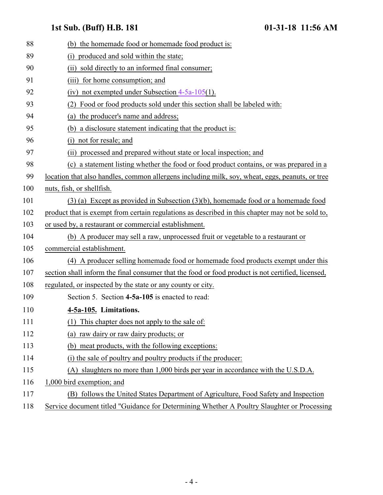### **1st Sub. (Buff) H.B. 181 01-31-18 11:56 AM**

<span id="page-3-0"></span>

| 88  | (b) the homemade food or homemade food product is:                                                |
|-----|---------------------------------------------------------------------------------------------------|
| 89  | produced and sold within the state;<br>(i)                                                        |
| 90  | (ii) sold directly to an informed final consumer;                                                 |
| 91  | (iii) for home consumption; and                                                                   |
| 92  | (iv) not exempted under Subsection $4-5a-105(1)$ .                                                |
| 93  | Food or food products sold under this section shall be labeled with:                              |
| 94  | (a) the producer's name and address;                                                              |
| 95  | (b) a disclosure statement indicating that the product is:                                        |
| 96  | not for resale; and<br>(i)                                                                        |
| 97  | processed and prepared without state or local inspection; and<br>(ii)                             |
| 98  | (c) a statement listing whether the food or food product contains, or was prepared in a           |
| 99  | location that also handles, common allergens including milk, soy, wheat, eggs, peanuts, or tree   |
| 100 | nuts, fish, or shellfish.                                                                         |
| 101 | $(3)$ (a) Except as provided in Subsection $(3)(b)$ , homemade food or a homemade food            |
| 102 | product that is exempt from certain regulations as described in this chapter may not be sold to,  |
| 103 | or used by, a restaurant or commercial establishment.                                             |
| 104 | (b) A producer may sell a raw, unprocessed fruit or vegetable to a restaurant or                  |
| 105 | commercial establishment.                                                                         |
| 106 | (4) A producer selling homemade food or homemade food products exempt under this                  |
| 107 | section shall inform the final consumer that the food or food product is not certified, licensed, |
| 108 | regulated, or inspected by the state or any county or city.                                       |
| 109 | Section 5. Section 4-5a-105 is enacted to read:                                                   |
| 110 | 4-5a-105. Limitations.                                                                            |
| 111 | This chapter does not apply to the sale of:                                                       |
| 112 | (a) raw dairy or raw dairy products; or                                                           |
| 113 | (b) meat products, with the following exceptions:                                                 |
| 114 | (i) the sale of poultry and poultry products if the producer:                                     |
| 115 | (A) slaughters no more than 1,000 birds per year in accordance with the U.S.D.A.                  |
| 116 | 1,000 bird exemption; and                                                                         |
| 117 | (B) follows the United States Department of Agriculture, Food Safety and Inspection               |
| 118 | Service document titled "Guidance for Determining Whether A Poultry Slaughter or Processing       |